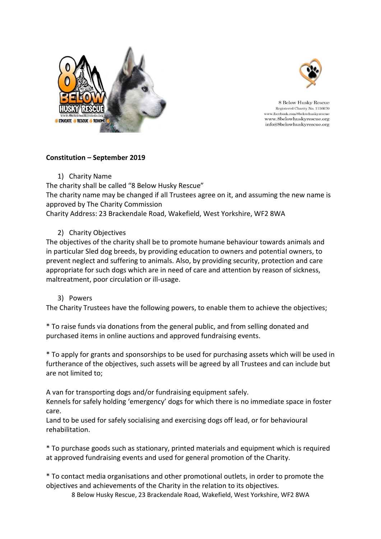



8 Below Husky Rescue Registered Charity No. 1156670 www.facebook.com/8belowhuskyrescue www.8belowhuskyrescue.org info@8belowhuskyrescue.org

## **Constitution – September 2019**

1) Charity Name

The charity shall be called "8 Below Husky Rescue" The charity name may be changed if all Trustees agree on it, and assuming the new name is approved by The Charity Commission

Charity Address: 23 Brackendale Road, Wakefield, West Yorkshire, WF2 8WA

# 2) Charity Objectives

The objectives of the charity shall be to promote humane behaviour towards animals and in particular Sled dog breeds, by providing education to owners and potential owners, to prevent neglect and suffering to animals. Also, by providing security, protection and care appropriate for such dogs which are in need of care and attention by reason of sickness, maltreatment, poor circulation or ill-usage.

## 3) Powers

The Charity Trustees have the following powers, to enable them to achieve the objectives;

\* To raise funds via donations from the general public, and from selling donated and purchased items in online auctions and approved fundraising events.

\* To apply for grants and sponsorships to be used for purchasing assets which will be used in furtherance of the objectives, such assets will be agreed by all Trustees and can include but are not limited to;

A van for transporting dogs and/or fundraising equipment safely.

Kennels for safely holding 'emergency' dogs for which there is no immediate space in foster care.

Land to be used for safely socialising and exercising dogs off lead, or for behavioural rehabilitation.

\* To purchase goods such as stationary, printed materials and equipment which is required at approved fundraising events and used for general promotion of the Charity.

\* To contact media organisations and other promotional outlets, in order to promote the objectives and achievements of the Charity in the relation to its objectives.

8 Below Husky Rescue, 23 Brackendale Road, Wakefield, West Yorkshire, WF2 8WA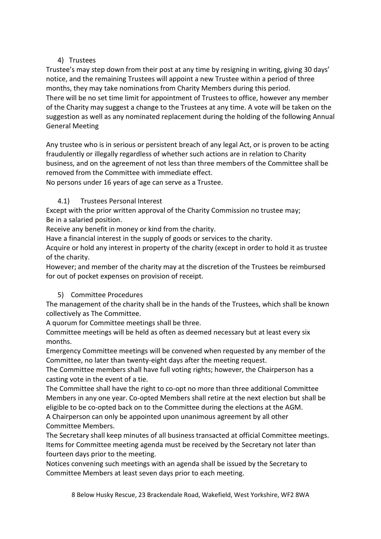## 4) Trustees

Trustee's may step down from their post at any time by resigning in writing, giving 30 days' notice, and the remaining Trustees will appoint a new Trustee within a period of three months, they may take nominations from Charity Members during this period. There will be no set time limit for appointment of Trustees to office, however any member of the Charity may suggest a change to the Trustees at any time. A vote will be taken on the suggestion as well as any nominated replacement during the holding of the following Annual General Meeting

Any trustee who is in serious or persistent breach of any legal Act, or is proven to be acting fraudulently or illegally regardless of whether such actions are in relation to Charity business, and on the agreement of not less than three members of the Committee shall be removed from the Committee with immediate effect.

No persons under 16 years of age can serve as a Trustee.

# 4.1) Trustees Personal Interest

Except with the prior written approval of the Charity Commission no trustee may; Be in a salaried position.

Receive any benefit in money or kind from the charity.

Have a financial interest in the supply of goods or services to the charity.

Acquire or hold any interest in property of the charity (except in order to hold it as trustee of the charity.

However; and member of the charity may at the discretion of the Trustees be reimbursed for out of pocket expenses on provision of receipt.

# 5) Committee Procedures

The management of the charity shall be in the hands of the Trustees, which shall be known collectively as The Committee.

A quorum for Committee meetings shall be three.

Committee meetings will be held as often as deemed necessary but at least every six months.

Emergency Committee meetings will be convened when requested by any member of the Committee, no later than twenty-eight days after the meeting request.

The Committee members shall have full voting rights; however, the Chairperson has a casting vote in the event of a tie.

The Committee shall have the right to co-opt no more than three additional Committee Members in any one year. Co-opted Members shall retire at the next election but shall be eligible to be co-opted back on to the Committee during the elections at the AGM.

A Chairperson can only be appointed upon unanimous agreement by all other Committee Members.

The Secretary shall keep minutes of all business transacted at official Committee meetings. Items for Committee meeting agenda must be received by the Secretary not later than fourteen days prior to the meeting.

Notices convening such meetings with an agenda shall be issued by the Secretary to Committee Members at least seven days prior to each meeting.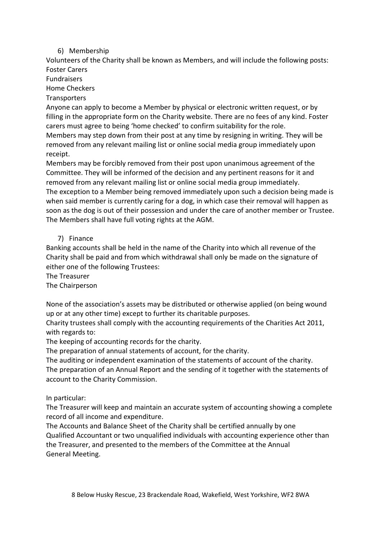### 6) Membership

Volunteers of the Charity shall be known as Members, and will include the following posts: Foster Carers

Fundraisers

Home Checkers

#### **Transporters**

Anyone can apply to become a Member by physical or electronic written request, or by filling in the appropriate form on the Charity website. There are no fees of any kind. Foster carers must agree to being 'home checked' to confirm suitability for the role.

Members may step down from their post at any time by resigning in writing. They will be removed from any relevant mailing list or online social media group immediately upon receipt.

Members may be forcibly removed from their post upon unanimous agreement of the Committee. They will be informed of the decision and any pertinent reasons for it and removed from any relevant mailing list or online social media group immediately. The exception to a Member being removed immediately upon such a decision being made is when said member is currently caring for a dog, in which case their removal will happen as soon as the dog is out of their possession and under the care of another member or Trustee. The Members shall have full voting rights at the AGM.

### 7) Finance

Banking accounts shall be held in the name of the Charity into which all revenue of the Charity shall be paid and from which withdrawal shall only be made on the signature of either one of the following Trustees:

The Treasurer

The Chairperson

None of the association's assets may be distributed or otherwise applied (on being wound up or at any other time) except to further its charitable purposes.

Charity trustees shall comply with the accounting requirements of the Charities Act 2011, with regards to:

The keeping of accounting records for the charity.

The preparation of annual statements of account, for the charity.

The auditing or independent examination of the statements of account of the charity.

The preparation of an Annual Report and the sending of it together with the statements of account to the Charity Commission.

#### In particular:

The Treasurer will keep and maintain an accurate system of accounting showing a complete record of all income and expenditure.

The Accounts and Balance Sheet of the Charity shall be certified annually by one Qualified Accountant or two unqualified individuals with accounting experience other than the Treasurer, and presented to the members of the Committee at the Annual General Meeting.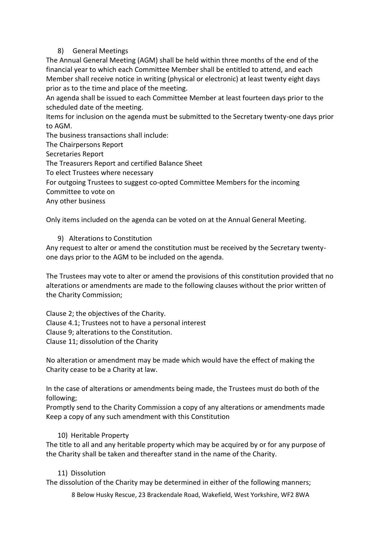### 8) General Meetings

The Annual General Meeting (AGM) shall be held within three months of the end of the financial year to which each Committee Member shall be entitled to attend, and each Member shall receive notice in writing (physical or electronic) at least twenty eight days prior as to the time and place of the meeting.

An agenda shall be issued to each Committee Member at least fourteen days prior to the scheduled date of the meeting.

Items for inclusion on the agenda must be submitted to the Secretary twenty-one days prior to AGM.

The business transactions shall include:

The Chairpersons Report

Secretaries Report

The Treasurers Report and certified Balance Sheet

To elect Trustees where necessary

For outgoing Trustees to suggest co-opted Committee Members for the incoming

Committee to vote on

Any other business

Only items included on the agenda can be voted on at the Annual General Meeting.

### 9) Alterations to Constitution

Any request to alter or amend the constitution must be received by the Secretary twentyone days prior to the AGM to be included on the agenda.

The Trustees may vote to alter or amend the provisions of this constitution provided that no alterations or amendments are made to the following clauses without the prior written of the Charity Commission;

Clause 2; the objectives of the Charity. Clause 4.1; Trustees not to have a personal interest Clause 9; alterations to the Constitution. Clause 11; dissolution of the Charity

No alteration or amendment may be made which would have the effect of making the Charity cease to be a Charity at law.

In the case of alterations or amendments being made, the Trustees must do both of the following;

Promptly send to the Charity Commission a copy of any alterations or amendments made Keep a copy of any such amendment with this Constitution

## 10) Heritable Property

The title to all and any heritable property which may be acquired by or for any purpose of the Charity shall be taken and thereafter stand in the name of the Charity.

#### 11) Dissolution

The dissolution of the Charity may be determined in either of the following manners;

8 Below Husky Rescue, 23 Brackendale Road, Wakefield, West Yorkshire, WF2 8WA